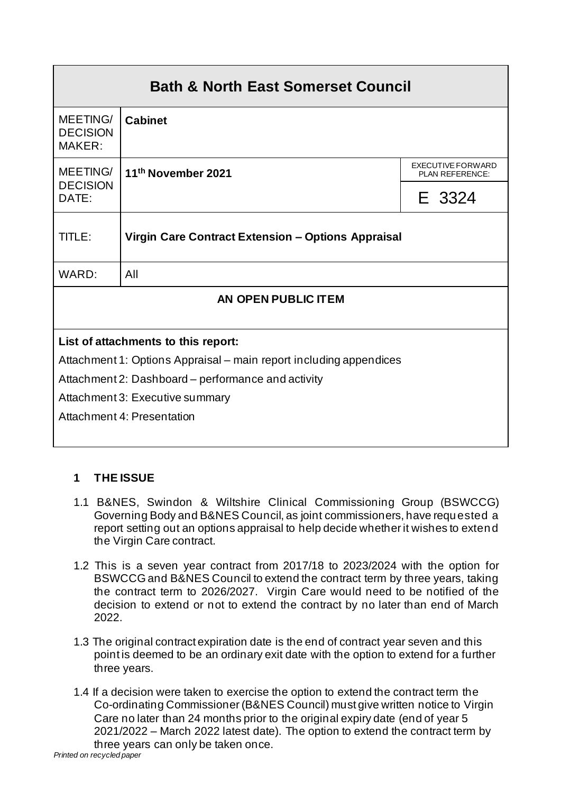| <b>Bath &amp; North East Somerset Council</b>                      |                    |                                                    |
|--------------------------------------------------------------------|--------------------|----------------------------------------------------|
| MEETING/<br><b>DECISION</b><br>MAKER:                              | <b>Cabinet</b>     |                                                    |
| MEETING/                                                           | 11th November 2021 | <b>EXECUTIVE FORWARD</b><br><b>PLAN REFERENCE:</b> |
| <b>DECISION</b><br>DATE:                                           |                    | E 3324                                             |
| Virgin Care Contract Extension - Options Appraisal<br>TITLE:       |                    |                                                    |
| WARD:                                                              | All                |                                                    |
| AN OPEN PUBLIC ITEM                                                |                    |                                                    |
|                                                                    |                    |                                                    |
| List of attachments to this report:                                |                    |                                                    |
| Attachment 1: Options Appraisal – main report including appendices |                    |                                                    |
| Attachment 2: Dashboard – performance and activity                 |                    |                                                    |
| Attachment 3: Executive summary                                    |                    |                                                    |
| Attachment 4: Presentation                                         |                    |                                                    |

# **1 THE ISSUE**

- 1.1 B&NES, Swindon & Wiltshire Clinical Commissioning Group (BSWCCG) Governing Body and B&NES Council, as joint commissioners, have requested a report setting out an options appraisal to help decide whether it wishes to extend the Virgin Care contract.
- 1.2 This is a seven year contract from 2017/18 to 2023/2024 with the option for BSWCCG and B&NES Council to extend the contract term by three years, taking the contract term to 2026/2027. Virgin Care would need to be notified of the decision to extend or not to extend the contract by no later than end of March 2022.
- 1.3 The original contract expiration date is the end of contract year seven and this point is deemed to be an ordinary exit date with the option to extend for a further three years.
- 1.4 If a decision were taken to exercise the option to extend the contract term the Co-ordinating Commissioner (B&NES Council) must give written notice to Virgin Care no later than 24 months prior to the original expiry date (end of year 5 2021/2022 – March 2022 latest date). The option to extend the contract term by three years can only be taken once.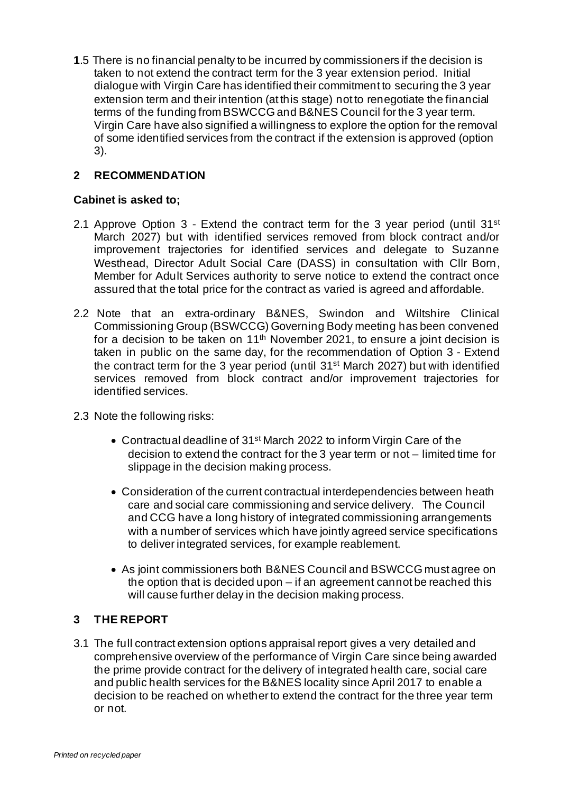**1**.5 There is no financial penalty to be incurred by commissioners if the decision is taken to not extend the contract term for the 3 year extension period. Initial dialogue with Virgin Care has identified their commitment to securing the 3 year extension term and their intention (at this stage) not to renegotiate the financial terms of the funding from BSWCCG and B&NES Council for the 3 year term. Virgin Care have also signified a willingness to explore the option for the removal of some identified services from the contract if the extension is approved (option 3).

#### **2 RECOMMENDATION**

#### **Cabinet is asked to;**

- 2.1 Approve Option  $3$  Extend the contract term for the 3 year period (until  $31^{st}$ ) March 2027) but with identified services removed from block contract and/or improvement trajectories for identified services and delegate to Suzanne Westhead, Director Adult Social Care (DASS) in consultation with Cllr Born, Member for Adult Services authority to serve notice to extend the contract once assured that the total price for the contract as varied is agreed and affordable.
- 2.2 Note that an extra-ordinary B&NES, Swindon and Wiltshire Clinical Commissioning Group (BSWCCG) Governing Body meeting has been convened for a decision to be taken on  $11<sup>th</sup>$  November 2021, to ensure a joint decision is taken in public on the same day, for the recommendation of Option 3 - Extend the contract term for the 3 year period (until 31st March 2027) but with identified services removed from block contract and/or improvement trajectories for identified services.
- 2.3 Note the following risks:
	- Contractual deadline of 31<sup>st</sup> March 2022 to inform Virgin Care of the decision to extend the contract for the 3 year term or not – limited time for slippage in the decision making process.
	- Consideration of the current contractual interdependencies between heath care and social care commissioning and service delivery. The Council and CCG have a long history of integrated commissioning arrangements with a number of services which have jointly agreed service specifications to deliver integrated services, for example reablement.
	- As joint commissioners both B&NES Council and BSWCCG must agree on the option that is decided upon – if an agreement cannot be reached this will cause further delay in the decision making process.

#### **3 THE REPORT**

3.1 The full contract extension options appraisal report gives a very detailed and comprehensive overview of the performance of Virgin Care since being awarded the prime provide contract for the delivery of integrated health care, social care and public health services for the B&NES locality since April 2017 to enable a decision to be reached on whether to extend the contract for the three year term or not.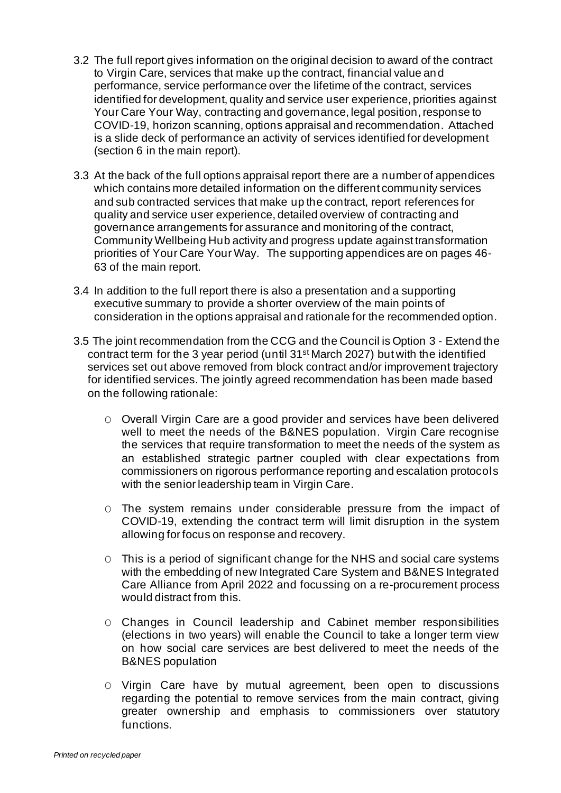- 3.2 The full report gives information on the original decision to award of the contract to Virgin Care, services that make up the contract, financial value and performance, service performance over the lifetime of the contract, services identified for development, quality and service user experience, priorities against Your Care Your Way, contracting and governance, legal position, response to COVID-19, horizon scanning, options appraisal and recommendation. Attached is a slide deck of performance an activity of services identified for development (section 6 in the main report).
- 3.3 At the back of the full options appraisal report there are a number of appendices which contains more detailed information on the different community services and sub contracted services that make up the contract, report references for quality and service user experience, detailed overview of contracting and governance arrangements for assurance and monitoring of the contract, Community Wellbeing Hub activity and progress update against transformation priorities of Your Care Your Way. The supporting appendices are on pages 46- 63 of the main report.
- 3.4 In addition to the full report there is also a presentation and a supporting executive summary to provide a shorter overview of the main points of consideration in the options appraisal and rationale for the recommended option.
- 3.5 The joint recommendation from the CCG and the Council is Option 3 Extend the contract term for the 3 year period (until 31st March 2027) but with the identified services set out above removed from block contract and/or improvement trajectory for identified services. The jointly agreed recommendation has been made based on the following rationale:
	- O Overall Virgin Care are a good provider and services have been delivered well to meet the needs of the B&NES population. Virgin Care recognise the services that require transformation to meet the needs of the system as an established strategic partner coupled with clear expectations from commissioners on rigorous performance reporting and escalation protocols with the senior leadership team in Virgin Care.
	- O The system remains under considerable pressure from the impact of COVID-19, extending the contract term will limit disruption in the system allowing for focus on response and recovery.
	- O This is a period of significant change for the NHS and social care systems with the embedding of new Integrated Care System and B&NES Integrated Care Alliance from April 2022 and focussing on a re-procurement process would distract from this.
	- O Changes in Council leadership and Cabinet member responsibilities (elections in two years) will enable the Council to take a longer term view on how social care services are best delivered to meet the needs of the B&NES population
	- O Virgin Care have by mutual agreement, been open to discussions regarding the potential to remove services from the main contract, giving greater ownership and emphasis to commissioners over statutory functions.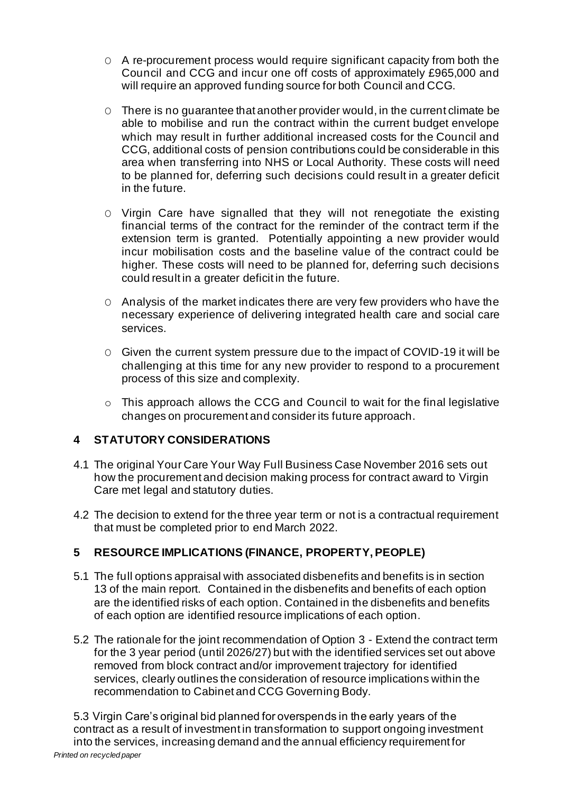- O A re-procurement process would require significant capacity from both the Council and CCG and incur one off costs of approximately £965,000 and will require an approved funding source for both Council and CCG.
- O There is no guarantee that another provider would, in the current climate be able to mobilise and run the contract within the current budget envelope which may result in further additional increased costs for the Council and CCG, additional costs of pension contributions could be considerable in this area when transferring into NHS or Local Authority. These costs will need to be planned for, deferring such decisions could result in a greater deficit in the future.
- O Virgin Care have signalled that they will not renegotiate the existing financial terms of the contract for the reminder of the contract term if the extension term is granted. Potentially appointing a new provider would incur mobilisation costs and the baseline value of the contract could be higher. These costs will need to be planned for, deferring such decisions could result in a greater deficit in the future.
- O Analysis of the market indicates there are very few providers who have the necessary experience of delivering integrated health care and social care services.
- O Given the current system pressure due to the impact of COVID-19 it will be challenging at this time for any new provider to respond to a procurement process of this size and complexity.
- o This approach allows the CCG and Council to wait for the final legislative changes on procurement and consider its future approach.

#### **4 STATUTORY CONSIDERATIONS**

- 4.1 The original Your Care Your Way Full Business Case November 2016 sets out how the procurement and decision making process for contract award to Virgin Care met legal and statutory duties.
- 4.2 The decision to extend for the three year term or not is a contractual requirement that must be completed prior to end March 2022.

# **5 RESOURCE IMPLICATIONS (FINANCE, PROPERTY, PEOPLE)**

- 5.1 The full options appraisal with associated disbenefits and benefits is in section 13 of the main report. Contained in the disbenefits and benefits of each option are the identified risks of each option. Contained in the disbenefits and benefits of each option are identified resource implications of each option.
- 5.2 The rationale for the joint recommendation of Option 3 Extend the contract term for the 3 year period (until 2026/27) but with the identified services set out above removed from block contract and/or improvement trajectory for identified services, clearly outlines the consideration of resource implications within the recommendation to Cabinet and CCG Governing Body.

*Printed on recycled paper* 5.3 Virgin Care's original bid planned for overspends in the early years of the contract as a result of investment in transformation to support ongoing investment into the services, increasing demand and the annual efficiency requirement for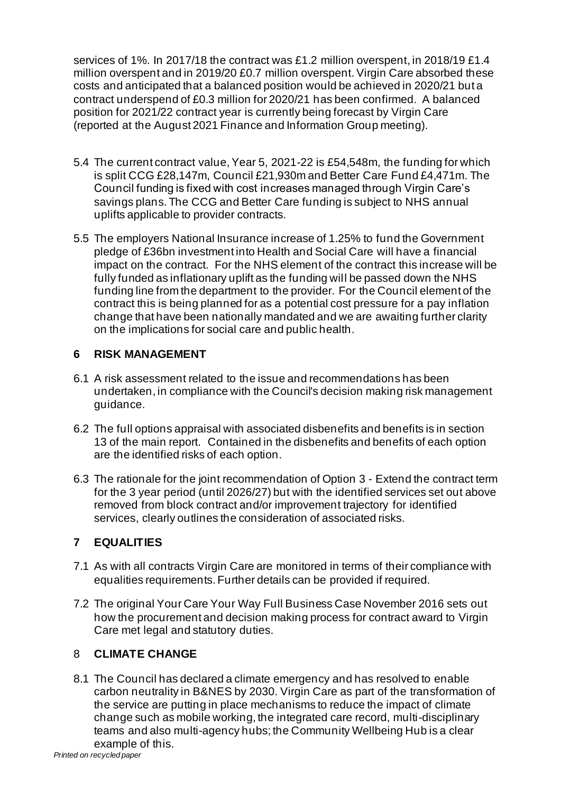services of 1%. In 2017/18 the contract was £1.2 million overspent, in 2018/19 £1.4 million overspent and in 2019/20 £0.7 million overspent. Virgin Care absorbed these costs and anticipated that a balanced position would be achieved in 2020/21 but a contract underspend of £0.3 million for 2020/21 has been confirmed. A balanced position for 2021/22 contract year is currently being forecast by Virgin Care (reported at the August 2021 Finance and Information Group meeting).

- 5.4 The current contract value, Year 5, 2021-22 is £54,548m, the funding for which is split CCG £28,147m, Council £21,930m and Better Care Fund £4,471m. The Council funding is fixed with cost increases managed through Virgin Care's savings plans. The CCG and Better Care funding is subject to NHS annual uplifts applicable to provider contracts.
- 5.5 The employers National Insurance increase of 1.25% to fund the Government pledge of £36bn investment into Health and Social Care will have a financial impact on the contract. For the NHS element of the contract this increase will be fully funded as inflationary uplift as the funding will be passed down the NHS funding line from the department to the provider. For the Council element of the contract this is being planned for as a potential cost pressure for a pay inflation change that have been nationally mandated and we are awaiting further clarity on the implications for social care and public health.

# **6 RISK MANAGEMENT**

- 6.1 A risk assessment related to the issue and recommendations has been undertaken, in compliance with the Council's decision making risk management guidance.
- 6.2 The full options appraisal with associated disbenefits and benefits is in section 13 of the main report. Contained in the disbenefits and benefits of each option are the identified risks of each option.
- 6.3 The rationale for the joint recommendation of Option 3 Extend the contract term for the 3 year period (until 2026/27) but with the identified services set out above removed from block contract and/or improvement trajectory for identified services, clearly outlines the consideration of associated risks.

# **7 EQUALITIES**

- 7.1 As with all contracts Virgin Care are monitored in terms of their compliance with equalities requirements. Further details can be provided if required.
- 7.2 The original Your Care Your Way Full Business Case November 2016 sets out how the procurement and decision making process for contract award to Virgin Care met legal and statutory duties.

# 8 **CLIMATE CHANGE**

8.1 The Council has declared a climate emergency and has resolved to enable carbon neutrality in B&NES by 2030. Virgin Care as part of the transformation of the service are putting in place mechanisms to reduce the impact of climate change such as mobile working, the integrated care record, multi-disciplinary teams and also multi-agency hubs; the Community Wellbeing Hub is a clear example of this.